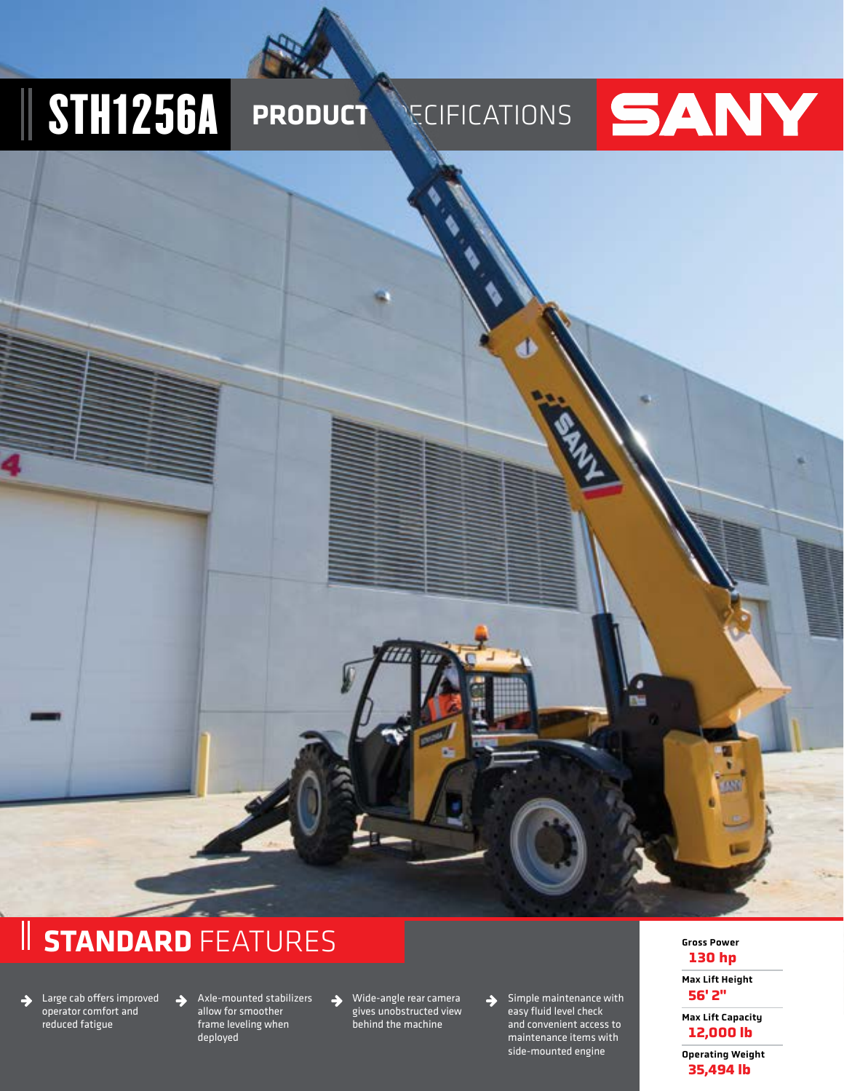# **STH1256A PRODUCT SECIFICATIONS**

## SANY

## **STANDARD** FEATURES

 $\rightarrow$ 

Large cab offers improved  $\rightarrow$ operator comfort and reduced fatigue

Axle-mounted stabilizers allow for smoother frame leveling when deployed

Wide-angle rear camera gives unobstructed view behind the machine

 $\rightarrow$ 

Simple maintenance with easy fluid level check and convenient access to maintenance items with side-mounted engine

 $\rightarrow$ 

#### Gross Power **130 hp**

٥ m

> Max Lift Height **56' 2"**

Max Lift Capacity **12,000 lb**

Operating Weight **35,494 lb**